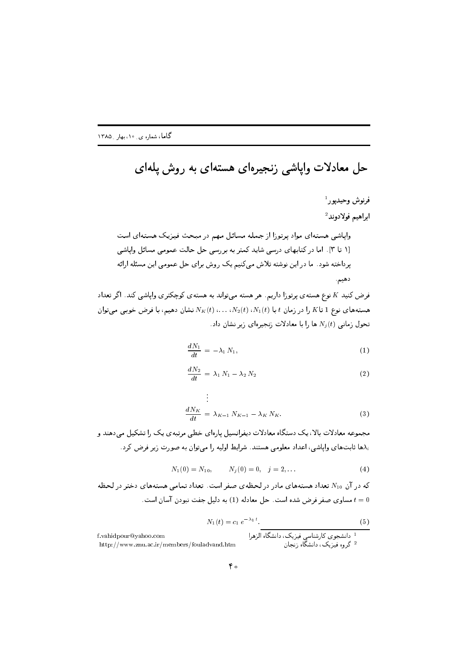## حل معادلات وایاشی زنجیرهای هستهای به روش یلهای

فرض کنید K نوع هستهی پرتوزا داریم. هر هسته میتواند به هستهی کوچکتری واپاشی کند. اگر تعداد هستههای نوع 1 تا $K$  را در زمان  $t$  با  $N_1(t)$ ،  $N_2(t)$ ،  $\ldots N_2(t)$  نشان دهیم، با فرض خوبی میتوان  $N_i(t)$  تحول زمانی  $N_i(t)$  ها را با معادلات زنجیرهای زیر نشان داد

$$
\frac{dN_1}{dt} = -\lambda_1 N_1,\tag{1}
$$

$$
\frac{dN_2}{dt} = \lambda_1 N_1 - \lambda_2 N_2 \tag{2}
$$

$$
\frac{dN_K}{dt} = \lambda_{K-1} N_{K-1} - \lambda_K N_K.
$$
\n(3)

مجموعه معادلات بالا، یک دستگاه معادلات دیفرانسیل پارهای خطی مرتبهی یک را تشکیل میدهند و ها ثابتهای واپاشی، اعداد معلومی هستند. شرایط اولیه را میتوان به صورت زیر فرض کرد.

$$
N_1(0) = N_{10}, \qquad N_j(0) = 0, \quad j = 2, \ldots \tag{4}
$$

که در آن  $N_{10}$  تعداد هستههای مادر در لحظهی صفر است. تعداد تمامی هستههای دختر در لحظه ، مساوی صفر فرض شده است. حل معادله (1) به دلیل جفت نبودن آسان است.  $t=0$ 

$$
N_1(t) = c_1 e^{-\lambda_1 t}.
$$
\n(5)

f.vahidpour@yahoo.com

http://www.znu.ac.ir/members/fouladvand.htm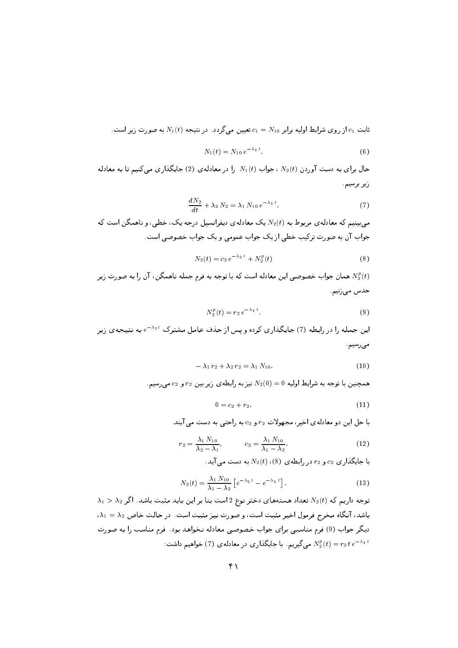نابت  $c_1$ از روی شرایط اولیه برابر  $c_1 = N_{10}$  تعیین میگردد . در نتیجه  $N_1(t)$  به صورت زیر است.

$$
N_1(t) = N_{10} e^{-\lambda_1 t}.
$$
\n(6)

حال برای به دست آوردن  $N_2(t)$  ، جواب  $N_1(t)$  را در معادلهی (2) جایگذاری می کنیم تا به معادله زير برسيم.

$$
\frac{dN_2}{dt} + \lambda_2 N_2 = \lambda_1 N_{10} e^{-\lambda_1 t}.
$$
\n(7)

می بینیم که معادلهی مربوط به  $N_2(t)$  یک معادلهی دیفرانسیل درجه یک، خطی، و ناهمگن است که جواب آن به صورت ترکیب خطی از یک جواب عمومی و یک جواب خصوصی است.

$$
N_2(t) = c_2 e^{-\lambda_2 t} + N_2^p(t)
$$
\n(8)

همان جواب خصوصی این معادله است که با توجه به فرم جمله ناهمگن، آن را به صورت زیر  $N^p_2(t)$ حدس مىزنيم

$$
N_2^p(t) = r_2 e^{-\lambda_1 t}.
$$
\n(9)

این جمله را در رابطه (7) جایگذاری کرده و پس از حذف عامل مشترک  $e^{-\lambda_1 t}$  به نتیجهی زیر می رسیم

$$
-\lambda_1 r_2 + \lambda_2 r_2 = \lambda_1 N_{10}.
$$
 (10)

همچنین با توجه به شرایط اولیه  $0 = N_2(0) = N_2(0)$  نیز به رابطه ی زیر بین  $r_2$  و  $c_2$  می رسیم.

$$
0 = c_2 + r_2. \t\t(11)
$$

با حل این دو معادله ی اخیر، مجهولات  $r_2$  و  $c_2$  به راحتی به دست می آیند.

$$
r_2 = \frac{\lambda_1 N_{10}}{\lambda_2 - \lambda_1}, \qquad c_2 = \frac{\lambda_1 N_{10}}{\lambda_1 - \lambda_2}.
$$
 (12)

با جایگذاری  $c_2$  و  $r_2$  در رابطه ی  $N_2(t)$  ،  $N_2(t)$  به دست می آید.

$$
N_2(t) = \frac{\lambda_1 N_{10}}{\lambda_1 - \lambda_2} \left[ e^{-\lambda_2 t} - e^{-\lambda_1 t} \right].
$$
 (13)

 $\lambda_1>\lambda_2$  توجه داریم که  $N_2(t)$  تعداد هستههای دختر نوع 2 است بنا بر این باید مثبت باشد. اگر  $\lambda_1=\lambda_2$  باشد، آنگاه مخرج فرمول اخیر مثبت است، و صورت نیز مثبت است. در حالت خاص  $\lambda_1$ دیگر جواب (9) فرم مناسبی برای جواب خصوصی معادله نخواهد بود. فرم مناسب را به صورت : میگیریم. با جایگذاری در معادلهی (7) خواهیم داشت M $\sum_{2}^{p}(t)=r_{2}\,t\,e^{-\lambda_{1}\,t}$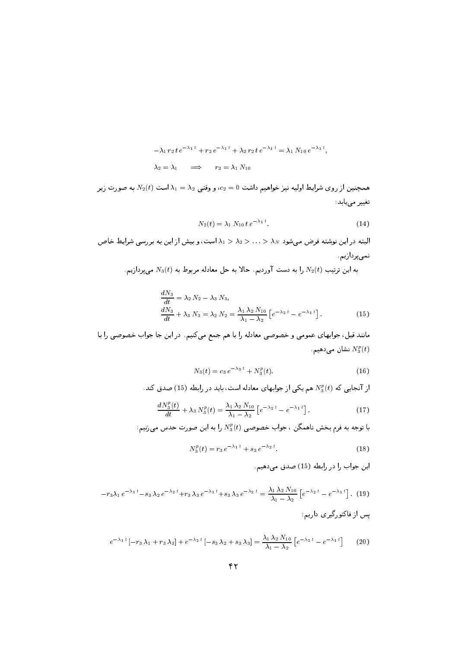$$
-\lambda_1 r_2 t e^{-\lambda_1 t} + r_2 e^{-\lambda_1 t} + \lambda_2 r_2 t e^{-\lambda_1 t} = \lambda_1 N_{10} e^{-\lambda_1 t},
$$
  

$$
\lambda_2 = \lambda_1 \implies r_2 = \lambda_1 N_{10}
$$

\$ ? ` ("+ <sup>8</sup> / 8 # 1 & ,- 8 " 
% W \$1 )g- ~- \$:2

$$
N_2(t) = \lambda_1 N_{10} t e^{-\lambda_1 t}.
$$
 (14)

b-2 W and the second term of the second terms of the second terms of the second terms of the second terms of t نمىيردازيم.

به این ترتیب  $r_2(\iota)$  را به دست اوردیم. حام به حل معادته مربوط به  $r_3(\iota)$  میپرداریم.

$$
\frac{dN_3}{dt} = \lambda_2 N_2 - \lambda_3 N_3, \n\frac{dN_3}{dt} + \lambda_3 N_3 = \lambda_2 N_2 = \frac{\lambda_1 \lambda_2 N_{10}}{\lambda_1 - \lambda_2} \left[ e^{-\lambda_2 t} - e^{-\lambda_1 t} \right].
$$
\n(15)

 $\alpha$  , and a construction of the construction of the construction of the construction of the construction of the construction of the construction of the construction of the construction of the construction of the construc نشان میدهیم  $N_3^{\ast}\left( t\right)$ 

$$
N_3(t) = c_3 e^{-\lambda_3 t} + N_3^p(t). \tag{16}
$$

از انجایی که  $N^s_3(t)$  هم یکی از جوابهای معادله است، باید در رابطه (15) صدق کند.

$$
\frac{dN_3^p(t)}{dt} + \lambda_3 N_3^p(t) = \frac{\lambda_1 \lambda_2 N_{10}}{\lambda_1 - \lambda_2} \left[ e^{-\lambda_2 t} - e^{-\lambda_1 t} \right].
$$
 (17)

با توجه به فرم بحش ناهمدن ، جواب حصوصی  $N_{\hat{3}}(t)$  را به این صورت حدس می $\omega$ یم:

$$
N_3^p(t) = r_3 e^{-\lambda_1 t} + s_3 e^{-\lambda_2 t}.
$$
 (18)

این جواب را در رابطه (15) صدق می دهیم.

$$
-r_3\lambda_1 e^{-\lambda_1 t} - s_3\lambda_2 e^{-\lambda_2 t} + r_3\lambda_3 e^{-\lambda_1 t} + s_3\lambda_3 e^{-\lambda_2 t} = \frac{\lambda_1 \lambda_2 N_{10}}{\lambda_1 - \lambda_2} \left[ e^{-\lambda_2 t} - e^{-\lambda_1 t} \right].
$$
 (19)  
پس از فاکتورگیری داریم:

$$
e^{-\lambda_1 t} \left[ -r_3 \lambda_1 + r_3 \lambda_3 \right] + e^{-\lambda_2 t} \left[ -s_3 \lambda_2 + s_3 \lambda_3 \right] = \frac{\lambda_1 \lambda_2 N_{10}}{\lambda_1 - \lambda_2} \left[ e^{-\lambda_2 t} - e^{-\lambda_1 t} \right] \tag{20}
$$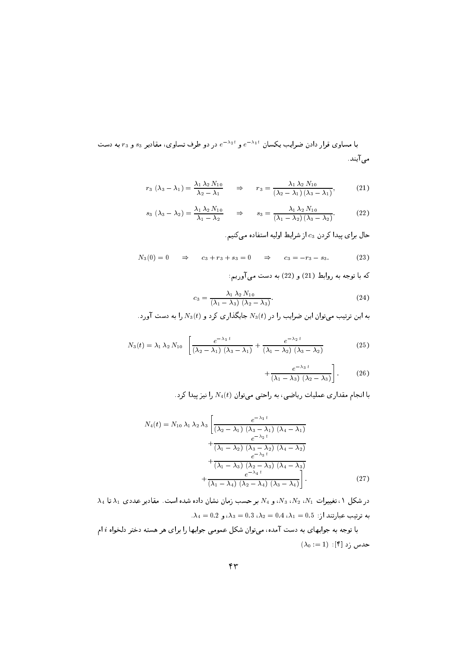با مساوی قرار دادن ضرایب یکسان  $e^{-\lambda_1 t}$  و  $e^{-\lambda_2 t}$  در دو طرف تساوی، مقادیر  $s_3$  و  $r_3$  به دست می آیند.

$$
r_3 \left(\lambda_3 - \lambda_1\right) = \frac{\lambda_1 \lambda_2 N_{10}}{\lambda_2 - \lambda_1} \qquad \Rightarrow \qquad r_3 = \frac{\lambda_1 \lambda_2 N_{10}}{\left(\lambda_2 - \lambda_1\right) \left(\lambda_3 - \lambda_1\right)},\tag{21}
$$

$$
s_3 \left(\lambda_3 - \lambda_2\right) = \frac{\lambda_1 \lambda_2 N_{10}}{\lambda_1 - \lambda_2} \qquad \Rightarrow \qquad s_3 = \frac{\lambda_1 \lambda_2 N_{10}}{\left(\lambda_1 - \lambda_2\right) \left(\lambda_3 - \lambda_2\right)}.\tag{22}
$$

حال برای پیدا کردن c3 از شرایط اولیه استفاده میکنیم.

$$
N_3(0) = 0 \Rightarrow c_3 + r_3 + s_3 = 0 \Rightarrow c_3 = -r_3 - s_3. \tag{23}
$$

كه با توجه به روابط (21) و (22) به دست مى آوريم:

$$
c_3 = \frac{\lambda_1 \lambda_2 N_{10}}{(\lambda_1 - \lambda_3) (\lambda_2 - \lambda_3)}.
$$
 (24)

به این ترتیب میتوان این ضرایب را در  $N_3(t)$  جایگذاری کرد و  $N_3(t)$  را به دست آورد.

$$
N_3(t) = \lambda_1 \lambda_2 N_{10} \left[ \frac{e^{-\lambda_1 t}}{(\lambda_2 - \lambda_1) (\lambda_3 - \lambda_1)} + \frac{e^{-\lambda_2 t}}{(\lambda_1 - \lambda_2) (\lambda_3 - \lambda_2)} \right]
$$
(25)

$$
+\frac{e^{-\lambda_3 t}}{(\lambda_1-\lambda_3)(\lambda_2-\lambda_3)}\bigg].
$$
 (26)

با انجام مقداری عملیات ریاضی، به راحتی میتوان  $N_4(t)$  را نیزییدا کرد.

$$
N_4(t) = N_{10} \lambda_1 \lambda_2 \lambda_3 \left[ \frac{e^{-\lambda_1 t}}{(\lambda_2 - \lambda_1) (\lambda_3 - \lambda_1) (\lambda_4 - \lambda_1)} + \frac{e^{-\lambda_2 t}}{(\lambda_1 - \lambda_2) (\lambda_3 - \lambda_2) (\lambda_4 - \lambda_2)} + \frac{e^{-\lambda_3 t}}{(\lambda_1 - \lambda_3) (\lambda_2 - \lambda_3) (\lambda_4 - \lambda_3)} + \frac{e^{-\lambda_4 t}}{(\lambda_1 - \lambda_4) (\lambda_2 - \lambda_4) (\lambda_3 - \lambda_4)} \right].
$$
\n(27)

 $\lambda_4$  در شکل ۱، تغییرات  $N_1$ ،  $N_2$ ، و $N_4$  بر حسب زمان نشان داده شده است. مقادیر عددی  $\lambda_1$  تا  $\lambda_2$  $\lambda_4 = 0.2$  به ترتیب عبارتند از:  $\lambda_1 = 0.4$ ،  $\lambda_2 = 0.4$ ، ک $\lambda_3 = 0.3$ ، و

با توجه به جوابهای به دست آمده، میتوان شکل عمومی جوابها را برای هر هسته دختر دلخواه i ام  $(\lambda_0:=1):[{\mathfrak k}]\,$  حدس زد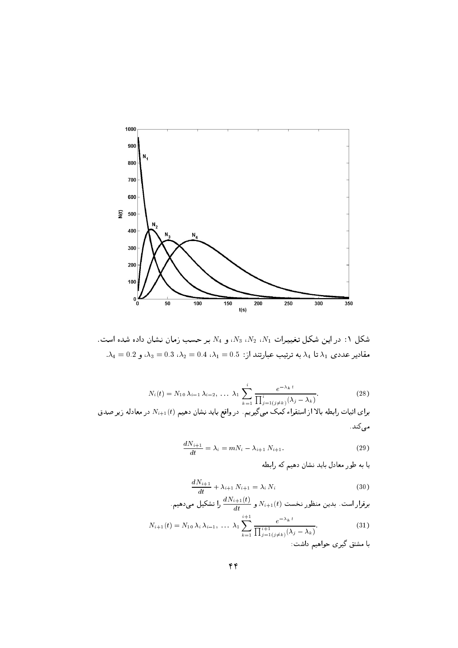

. شکل ۱: در این شکل تغییرات  $N_1$ ،  $N_3$ ،  $N_3$ ، و  $N_4$  بر حسب زمان نشان داده شده است.  $\lambda_4=0.2$  مقادیر عددی  $\lambda_1$  تا  $\lambda_4$  به ترتیب عبارتند از:  $\lambda_1=0.4$ ،  $\lambda_2=0.3$ ، و  $\lambda_3=0.3$ .

$$
N_i(t) = N_{10} \lambda_{i-1} \lambda_{i-2}, \ldots \lambda_1 \sum_{k=1}^i \frac{e^{-\lambda_k t}}{\prod_{j=1}^i (j \neq k)} \lambda_j.
$$
 (28)

برای اثبات رابطه بالا از استقراء کمک میگیریم. در واقع باید نشان دهیم  $N_{i+1}(t)$  در معادله زیر صدق مى كند .

$$
\frac{dN_{i+1}}{dt} = \lambda_i = mN_i - \lambda_{i+1} N_{i+1}.
$$
 (29)

یا به طور معادل باید نشان دهیم که رابطه

$$
\frac{dN_{i+1}}{dt} + \lambda_{i+1} N_{i+1} = \lambda_i N_i \tag{30}
$$

روتار است. بدین منظور نخست 
$$
N_{i+1}(t)
$$
 و  $\frac{dN_{i+1}(t)}{dt}$  و ا تشکیل میدهیم.

$$
N_{i+1}(t) = N_{10} \lambda_i \lambda_{i-1}, \ldots \lambda_1 \sum_{k=1}^{i+1} \frac{e^{-\lambda_k t}}{\prod_{j=1}^{i+1} (j \neq k)}.
$$
 (31)

با مشتق گیری حواهیم داشت: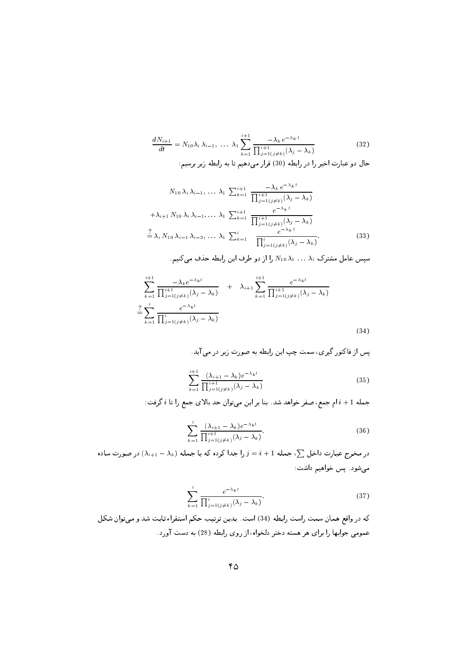$$
\frac{dN_{i+1}}{dt} = N_{10}\lambda_i \lambda_{i-1}, \dots \lambda_1 \sum_{k=1}^{i+1} \frac{-\lambda_k e^{-\lambda_k t}}{\prod_{j=1}^{i+1} (j \neq k)} (\lambda_j - \lambda_k)
$$
(32)

حال دو عبارت اخیر را در رابطه (30) قرار میدهیم تا به رابطه زیر برسیم:

$$
N_{10} \lambda_i \lambda_{i-1}, \dots \lambda_1 \sum_{k=1}^{i+1} \frac{-\lambda_k e^{-\lambda_k t}}{\prod_{j=1}^{i+1} (j \neq k)} (\lambda_j - \lambda_k)
$$
  
+  $\lambda_{i+1} N_{10} \lambda_i \lambda_{i-1}, \dots \lambda_1 \sum_{k=1}^{i+1} \frac{e^{-\lambda_k t}}{\prod_{j=1}^{i+1} (j \neq k)} (\lambda_j - \lambda_k)$   

$$
\frac{?}{=} \lambda_i N_{10} \lambda_{i-1} \lambda_{i-2}, \dots \lambda_1 \sum_{k=1}^{i} \frac{e^{-\lambda_k t}}{\prod_{j=1}^{i} (j \neq k)} (\lambda_j - \lambda_k).
$$
 (33)

سپس عامل مشترک  $\lambda_1 \ldots \lambda_i$  را از دو طرف این رابطه حذف میکنیم.

$$
\sum_{k=1}^{i+1} \frac{-\lambda_k e^{-\lambda_k t}}{\prod_{j=1}^{i+1} (j \neq k)} + \lambda_{i+1} \sum_{k=1}^{i+1} \frac{e^{-\lambda_k t}}{\prod_{j=1}^{i+1} (j \neq k)} (\lambda_j - \lambda_k)
$$
  

$$
\sum_{k=1}^{i} \frac{e^{-\lambda_k t}}{\prod_{j=1}^{i} (j \neq k)} (\lambda_j - \lambda_k)
$$
 (34)

$$
\sum_{k=1}^{i+1} \frac{(\lambda_{i+1} - \lambda_k) e^{-\lambda_k t}}{\prod_{j=1}^{i+1} (j \neq k)} (\lambda_j - \lambda_k)
$$
\n(35)

جمله 1 + i ام جمع، صفر خواهد شد. بنا بر اين مي توان حد بالاي جمع را تا i گرفت:

$$
\sum_{k=1}^{i} \frac{(\lambda_{i+1} - \lambda_k)e^{-\lambda_k t}}{\prod_{j=1}^{i+1} (j \neq k)} \tag{36}
$$

در مخرج عبارت داخل  $\sum$ ، جمله 1 $i+j = j = j$ را جدا کرده که با جمله  $(\lambda_{i+1}-\lambda_k)$  در صورت ساده میشود. پس خواهیم داشت:

$$
\sum_{k=1}^{i} \frac{e^{-\lambda_k t}}{\prod_{j=1}^{i} (j \neq k)} \cdot \tag{37}
$$

كه در واقع همان سمت راست رابطه (34) است. بدين ترتيب حكم استقراء ثابت شد و مىتوان شكل عمومی جوابها را برای هر هسته دختر دلخواه، از روی رابطه (28) به دست آورد.